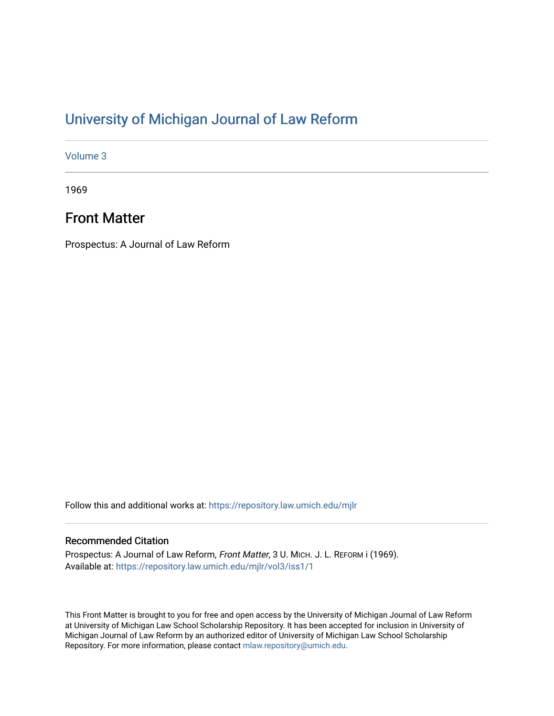# [University of Michigan Journal of Law Reform](https://repository.law.umich.edu/mjlr)

[Volume 3](https://repository.law.umich.edu/mjlr/vol3)

1969

## Front Matter

Prospectus: A Journal of Law Reform

Follow this and additional works at: [https://repository.law.umich.edu/mjlr](https://repository.law.umich.edu/mjlr?utm_source=repository.law.umich.edu%2Fmjlr%2Fvol3%2Fiss1%2F1&utm_medium=PDF&utm_campaign=PDFCoverPages) 

### Recommended Citation

Prospectus: A Journal of Law Reform, Front Matter, 3 U. MICH. J. L. REFORM i (1969). Available at: [https://repository.law.umich.edu/mjlr/vol3/iss1/1](https://repository.law.umich.edu/mjlr/vol3/iss1/1?utm_source=repository.law.umich.edu%2Fmjlr%2Fvol3%2Fiss1%2F1&utm_medium=PDF&utm_campaign=PDFCoverPages)

This Front Matter is brought to you for free and open access by the University of Michigan Journal of Law Reform at University of Michigan Law School Scholarship Repository. It has been accepted for inclusion in University of Michigan Journal of Law Reform by an authorized editor of University of Michigan Law School Scholarship Repository. For more information, please contact [mlaw.repository@umich.edu](mailto:mlaw.repository@umich.edu).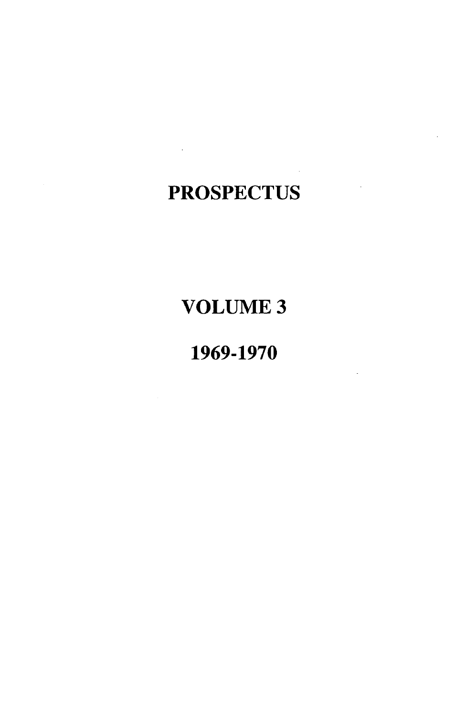# **PROSPECTUS**

 $\mathcal{L}(\mathcal{L}^{\text{max}})$  and  $\mathcal{L}(\mathcal{L}^{\text{max}})$ 

# VOLUME3

# 1969-1970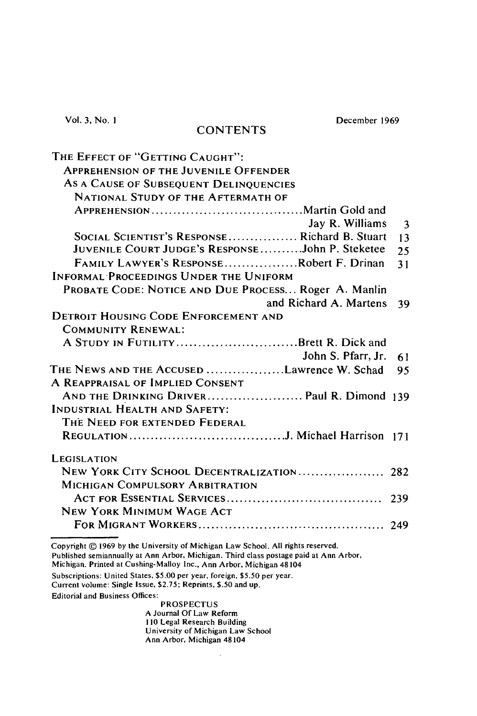Vol. 3, No. I

#### **CONTENTS**

December 1969

| THE EFFECT OF "GETTING CAUGHT":                      |     |
|------------------------------------------------------|-----|
| <b>APPREHENSION OF THE JUVENILE OFFENDER</b>         |     |
| AS A CAUSE OF SUBSEQUENT DELINQUENCIES               |     |
| <b>NATIONAL STUDY OF THE AFTERMATH OF</b>            |     |
| Jay R. Williams                                      | 3   |
| SOCIAL SCIENTIST'S RESPONSE Richard B. Stuart        | 13  |
| JUVENILE COURT JUDGE's RESPONSEJohn P. Steketee      | 25  |
| FAMILY LAWYER'S RESPONSERobert F. Drinan             | 31  |
| INFORMAL PROCEEDINGS UNDER THE UNIFORM               |     |
| PROBATE CODE: NOTICE AND DUE PROCESS Roger A. Manlin |     |
| and Richard A. Martens                               | 39  |
| <b>DETROIT HOUSING CODE ENFORCEMENT AND</b>          |     |
| <b>COMMUNITY RENEWAL:</b>                            |     |
| A STUDY IN FUTILITYBrett R. Dick and                 |     |
| John S. Pfarr, Jr.                                   | 61  |
| THE NEWS AND THE ACCUSED Lawrence W. Schad           | 95  |
| A REAPPRAISAL OF IMPLIED CONSENT                     |     |
|                                                      |     |
| INDUSTRIAL HEALTH AND SAFETY:                        |     |
| THE NEED FOR EXTENDED FEDERAL                        |     |
|                                                      |     |
| <b>LEGISLATION</b>                                   |     |
| NEW YORK CITY SCHOOL DECENTRALIZATION 282            |     |
| <b>MICHIGAN COMPULSORY ARBITRATION</b>               |     |
|                                                      | 239 |
| <b>NEW YORK MINIMUM WAGE ACT</b>                     |     |
|                                                      |     |

Copyright © 1969 by the University of Michigan Law School. All rights reserved. Published semiannually at Ann Arbor, Michigan. Third class postage paid at Ann Arbor,

Michigan. Printed at Cushing-Malloy Inc., Ann Arbor, Michigan 48104

Subscriptions: United States, \$5.00 per year, foreign, *\$5.50* per year.

Current volume: Single Issue, \$2.75; Reprints, \$.50 and up.

Editorial and Business Offices:

PROSPECTUS A Journal Of Law Reform 110 Legal Research Building University of Michigan Law School Ann Arbor, Michigan 48104